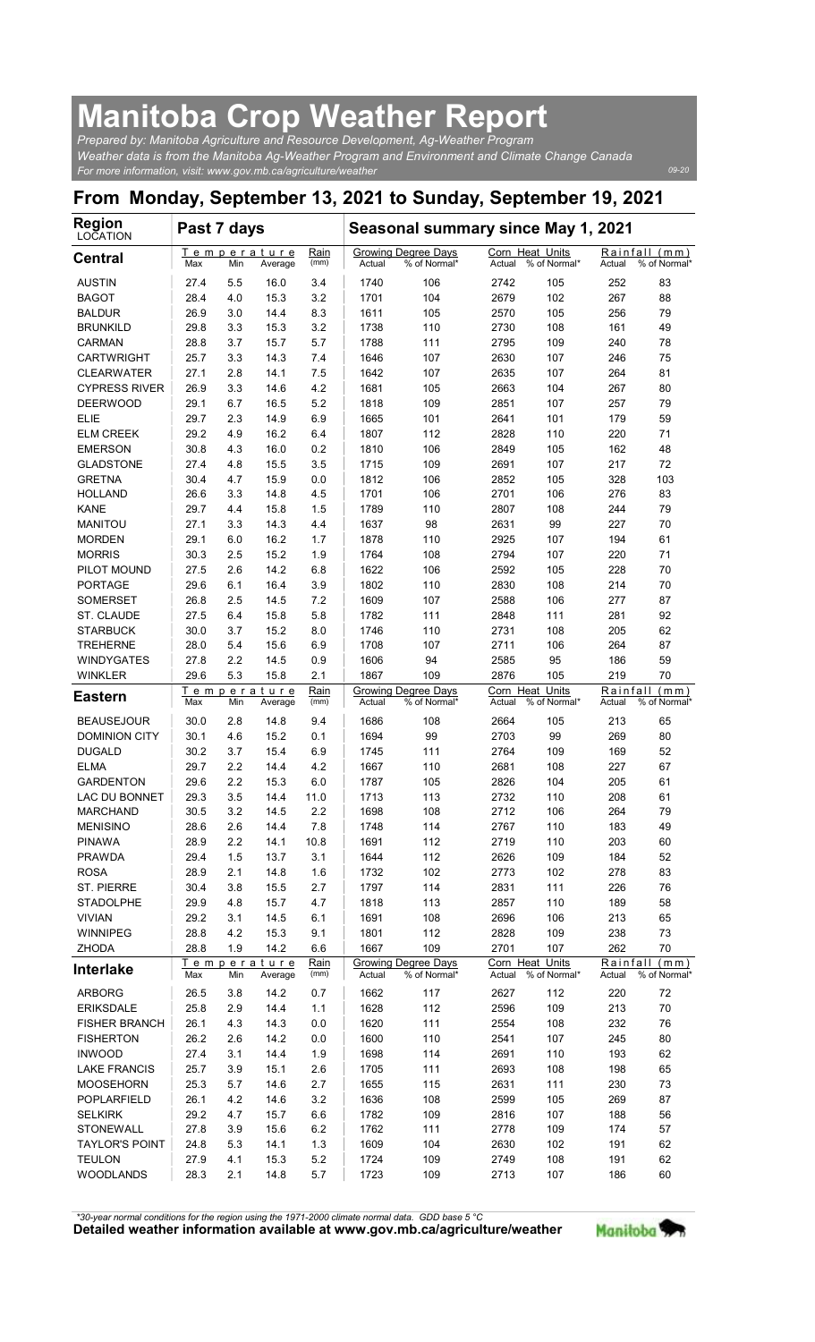## Manitoba Crop Weather Report

| <b>Manitoba Crop Weather Report</b>                                                                                                                                                                                                                |                  |            |                                |                     |                |                                                   |                |                                        |                 |                                    |
|----------------------------------------------------------------------------------------------------------------------------------------------------------------------------------------------------------------------------------------------------|------------------|------------|--------------------------------|---------------------|----------------|---------------------------------------------------|----------------|----------------------------------------|-----------------|------------------------------------|
| Prepared by: Manitoba Agriculture and Resource Development, Ag-Weather Program<br>Weather data is from the Manitoba Ag-Weather Program and Environment and Climate Change Canada<br>For more information, visit: www.gov.mb.ca/agriculture/weather |                  |            |                                |                     |                |                                                   |                |                                        |                 | 09-20                              |
| From Monday, September 13, 2021 to Sunday, September 19, 2021                                                                                                                                                                                      |                  |            |                                |                     |                |                                                   |                |                                        |                 |                                    |
| <b>Region</b><br>LOCATION                                                                                                                                                                                                                          | Past 7 days      |            |                                |                     |                | Seasonal summary since May 1, 2021                |                |                                        |                 |                                    |
| <b>Central</b>                                                                                                                                                                                                                                     | Max              | Min        | Temperature<br>Average         | Rain<br>(mm)        | Actual         | Growing Degree Days<br>% of Normal*               | Actual         | Corn Heat Units<br>% of Normal*        | Actual          | Rainfall (mm)<br>% of Normal'      |
| <b>AUSTIN</b><br><b>BAGOT</b>                                                                                                                                                                                                                      | 27.4<br>28.4     | 5.5<br>4.0 | 16.0<br>15.3                   | 3.4<br>3.2          | 1740<br>1701   | 106<br>104                                        | 2742<br>2679   | 105<br>102                             | 252<br>267      | 83<br>88                           |
| <b>BALDUR</b>                                                                                                                                                                                                                                      | 26.9             | 3.0        | 14.4                           | 8.3                 | 1611           | 105                                               | 2570           | 105                                    | 256             | 79                                 |
| <b>BRUNKILD</b><br><b>CARMAN</b>                                                                                                                                                                                                                   | 29.8<br>28.8     | 3.3<br>3.7 | 15.3<br>15.7                   | 3.2<br>5.7          | 1738<br>1788   | 110<br>111                                        | 2730<br>2795   | 108<br>109                             | 161<br>240      | 49<br>78                           |
| <b>CARTWRIGHT</b><br><b>CLEARWATER</b>                                                                                                                                                                                                             | 25.7<br>27.1     | 3.3<br>2.8 | 14.3<br>14.1                   | 7.4<br>7.5          | 1646<br>1642   | 107<br>107                                        | 2630<br>2635   | 107<br>107                             | 246<br>264      | 75<br>81                           |
| <b>CYPRESS RIVER</b>                                                                                                                                                                                                                               | 26.9             | 3.3        | 14.6                           | 4.2                 | 1681           | 105                                               | 2663           | 104                                    | 267             | 80                                 |
| <b>DEERWOOD</b><br><b>ELIE</b>                                                                                                                                                                                                                     | 29.1<br>29.7     | 6.7<br>2.3 | 16.5<br>14.9                   | 5.2<br>6.9          | 1818<br>1665   | 109<br>101                                        | 2851<br>2641   | 107<br>101                             | 257<br>179      | 79<br>59                           |
| <b>ELM CREEK</b><br><b>EMERSON</b>                                                                                                                                                                                                                 | 29.2<br>$30.8\,$ | 4.9<br>4.3 | 16.2<br>16.0                   | 6.4<br>0.2          | 1807<br>1810   | 112<br>106                                        | 2828<br>2849   | 110<br>105                             | 220<br>162      | 71<br>48                           |
| <b>GLADSTONE</b>                                                                                                                                                                                                                                   | 27.4             | 4.8        | 15.5                           | 3.5                 | 1715           | 109                                               | 2691           | 107                                    | 217             | 72                                 |
| <b>GRETNA</b><br><b>HOLLAND</b>                                                                                                                                                                                                                    | 30.4<br>26.6     | 4.7<br>3.3 | 15.9<br>14.8                   | 0.0<br>4.5          | 1812<br>1701   | 106<br>106                                        | 2852<br>2701   | 105<br>106                             | 328<br>276      | 103<br>83                          |
| KANE                                                                                                                                                                                                                                               | 29.7             | 4.4        | 15.8                           | 1.5                 | 1789           | 110                                               | 2807           | 108                                    | 244             | 79                                 |
| <b>MANITOU</b><br><b>MORDEN</b>                                                                                                                                                                                                                    | 27.1<br>29.1     | 3.3<br>6.0 | 14.3<br>16.2                   | 4.4<br>1.7          | 1637<br>1878   | 98<br>110                                         | 2631<br>2925   | 99<br>107                              | 227<br>194      | 70<br>61                           |
| <b>MORRIS</b><br>PILOT MOUND                                                                                                                                                                                                                       | 30.3<br>27.5     | 2.5<br>2.6 | 15.2<br>14.2                   | 1.9<br>6.8          | 1764<br>1622   | 108<br>106                                        | 2794<br>2592   | 107<br>105                             | 220<br>228      | 71<br>70                           |
| <b>PORTAGE</b>                                                                                                                                                                                                                                     | 29.6             | 6.1        | 16.4                           | 3.9                 | 1802           | 110                                               | 2830           | 108                                    | 214             | 70                                 |
| <b>SOMERSET</b><br>ST. CLAUDE                                                                                                                                                                                                                      | 26.8<br>27.5     | 2.5<br>6.4 | 14.5<br>15.8                   | 7.2<br>5.8          | 1609<br>1782   | 107<br>111                                        | 2588<br>2848   | 106<br>111                             | 277<br>281      | 87<br>92                           |
| <b>STARBUCK</b><br><b>TREHERNE</b>                                                                                                                                                                                                                 | 30.0<br>28.0     | 3.7<br>5.4 | 15.2<br>15.6                   | 8.0<br>6.9          | 1746<br>1708   | 110<br>107                                        | 2731<br>2711   | 108<br>106                             | 205<br>264      | 62<br>87                           |
| <b>WINDYGATES</b>                                                                                                                                                                                                                                  | 27.8             | 2.2        | 14.5                           | 0.9                 | 1606           | 94                                                | 2585           | 95                                     | 186             | 59                                 |
| <b>WINKLER</b>                                                                                                                                                                                                                                     | 29.6             | 5.3        | 15.8<br>Temperature            | 2.1<br>Rain         | 1867           | 109<br><b>Growing Degree Days</b>                 | 2876           | 105<br>Corn Heat Units                 | 219<br>Rainfall | 70<br>(mm)                         |
| <b>Eastern</b><br><b>BEAUSEJOUR</b>                                                                                                                                                                                                                | Max<br>30.0      | Min<br>2.8 | Average<br>14.8                | (mm)<br>9.4         | Actual<br>1686 | % of Normal*<br>108                               | Actual<br>2664 | % of Normal*<br>105                    | Actual<br>213   | % of Normal'<br>65                 |
| <b>DOMINION CITY</b>                                                                                                                                                                                                                               | 30.1             | 4.6        | 15.2                           | 0.1                 | 1694           | 99                                                | 2703           | 99                                     | 269             | 80                                 |
| <b>DUGALD</b><br><b>ELMA</b>                                                                                                                                                                                                                       | 30.2<br>29.7     | 3.7<br>2.2 | 15.4<br>14.4                   | 6.9<br>4.2          | 1745<br>1667   | 111<br>110                                        | 2764<br>2681   | 109<br>108                             | 169<br>227      | 52<br>67                           |
| <b>GARDENTON</b>                                                                                                                                                                                                                                   | 29.6             | 2.2        | 15.3                           | 6.0                 | 1787           | 105                                               | 2826           | 104                                    | 205             | 61                                 |
| LAC DU BONNET<br><b>MARCHAND</b>                                                                                                                                                                                                                   | 29.3<br>30.5     | 3.5<br>3.2 | 14.4<br>14.5                   | 11.0<br>2.2         | 1713<br>1698   | 113<br>108                                        | 2732<br>2712   | 110<br>106                             | 208<br>264      | 61<br>79                           |
| <b>MENISINO</b><br><b>PINAWA</b>                                                                                                                                                                                                                   | 28.6<br>28.9     | 2.6<br>2.2 | 14.4<br>14.1                   | 7.8<br>10.8         | 1748<br>1691   | 114<br>112                                        | 2767<br>2719   | 110<br>110                             | 183<br>203      | 49<br>60                           |
| <b>PRAWDA</b>                                                                                                                                                                                                                                      | 29.4             | 1.5        | 13.7                           | 3.1                 | 1644           | 112                                               | 2626           | 109                                    | 184             | 52                                 |
| <b>ROSA</b><br><b>ST. PIERRE</b>                                                                                                                                                                                                                   | 28.9<br>30.4     | 2.1<br>3.8 | 14.8<br>15.5                   | 1.6<br>2.7          | 1732<br>1797   | 102<br>114                                        | 2773<br>2831   | 102<br>111                             | 278<br>226      | 83<br>76                           |
| <b>STADOLPHE</b><br><b>VIVIAN</b>                                                                                                                                                                                                                  | 29.9<br>29.2     | 4.8<br>3.1 | 15.7<br>14.5                   | 4.7<br>6.1          | 1818<br>1691   | 113<br>108                                        | 2857<br>2696   | 110<br>106                             | 189<br>213      | 58<br>65                           |
| WINNIPEG                                                                                                                                                                                                                                           | 28.8             | 4.2        | 15.3                           | 9.1                 | 1801           | 112                                               | 2828           | 109                                    | 238             | 73                                 |
| <b>ZHODA</b><br><b>Interlake</b>                                                                                                                                                                                                                   | 28.8<br>Max      | 1.9<br>Min | 14.2<br>Temperature<br>Average | 6.6<br>Rain<br>(mm) | 1667<br>Actual | 109<br><b>Growing Degree Days</b><br>% of Normal* | 2701<br>Actual | 107<br>Corn Heat Units<br>% of Normal* | 262<br>Actual   | 70<br>Rainfall (mm)<br>% of Normal |
| <b>ARBORG</b>                                                                                                                                                                                                                                      | 26.5             | 3.8        | 14.2                           | 0.7                 | 1662           | 117                                               | 2627           | 112                                    | 220             | 72                                 |
| <b>ERIKSDALE</b><br><b>FISHER BRANCH</b>                                                                                                                                                                                                           | 25.8<br>26.1     | 2.9<br>4.3 | 14.4<br>14.3                   | 1.1<br>0.0          | 1628<br>1620   | 112<br>111                                        | 2596<br>2554   | 109<br>108                             | 213<br>232      | $70\,$<br>76                       |
| <b>FISHERTON</b><br><b>INWOOD</b>                                                                                                                                                                                                                  | 26.2<br>27.4     | 2.6<br>3.1 | 14.2<br>14.4                   | 0.0<br>1.9          | 1600<br>1698   | 110<br>114                                        | 2541<br>2691   | 107<br>110                             | 245<br>193      | 80<br>62                           |
| <b>LAKE FRANCIS</b>                                                                                                                                                                                                                                | 25.7             | 3.9        | 15.1                           | 2.6                 | 1705           | 111                                               | 2693           | 108                                    | 198             | 65                                 |
| <b>MOOSEHORN</b><br>POPLARFIELD                                                                                                                                                                                                                    | 25.3<br>26.1     | 5.7<br>4.2 | 14.6<br>14.6                   | 2.7<br>$3.2\,$      | 1655<br>1636   | 115<br>108                                        | 2631<br>2599   | 111<br>105                             | 230<br>269      | 73<br>87                           |
| <b>SELKIRK</b><br><b>STONEWALL</b>                                                                                                                                                                                                                 | 29.2<br>27.8     | 4.7<br>3.9 | 15.7<br>15.6                   | 6.6<br>6.2          | 1782<br>1762   | 109<br>111                                        | 2816<br>2778   | 107<br>109                             | 188<br>174      | 56                                 |
| <b>TAYLOR'S POINT</b>                                                                                                                                                                                                                              | 24.8             | 5.3        | 14.1                           | 1.3                 | 1609           | 104                                               | 2630           | 102                                    | 191             | 57<br>62                           |
| <b>TEULON</b><br><b>WOODLANDS</b>                                                                                                                                                                                                                  | 27.9<br>28.3     | 4.1<br>2.1 | 15.3<br>14.8                   | $5.2\,$<br>5.7      | 1724<br>1723   | 109<br>109                                        | 2749<br>2713   | 108<br>107                             | 191<br>186      | 62<br>60                           |
|                                                                                                                                                                                                                                                    |                  |            |                                |                     |                |                                                   |                |                                        |                 |                                    |

Detailed weather information available at www.gov.mb.ca/agriculture/weather Manitoba \*30-year normal conditions for the region using the 1971-2000 climate normal data. GDD base 5 °C